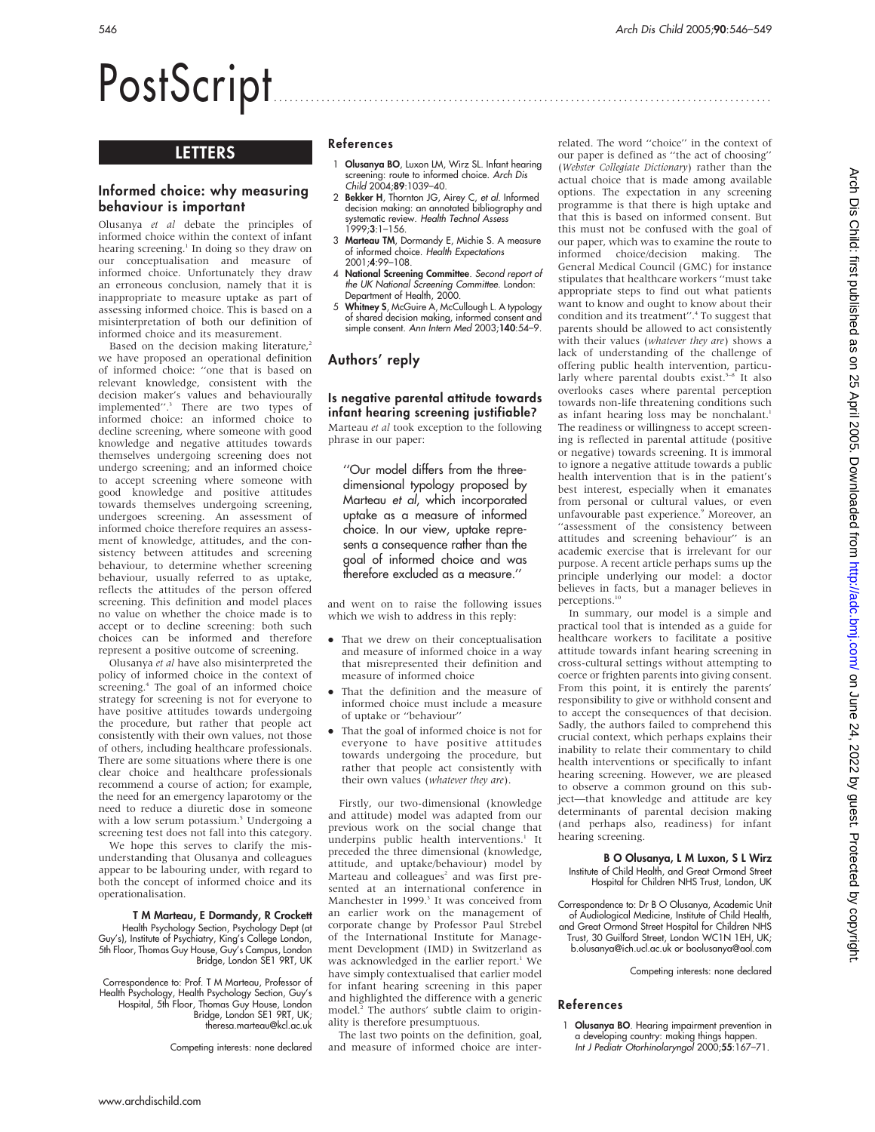# PostScript

# **LETTERS**

# Informed choice: why measuring behaviour is important

Olusanya et al debate the principles of informed choice within the context of infant hearing screening.<sup>1</sup> In doing so they draw on our conceptualisation and measure of informed choice. Unfortunately they draw an erroneous conclusion, namely that it is inappropriate to measure uptake as part of assessing informed choice. This is based on a misinterpretation of both our definition of informed choice and its measurement.

Based on the decision making literature,<sup>2</sup> we have proposed an operational definition of informed choice: ''one that is based on relevant knowledge, consistent with the decision maker's values and behaviourally implemented''.3 There are two types of informed choice: an informed choice to decline screening, where someone with good knowledge and negative attitudes towards themselves undergoing screening does not undergo screening; and an informed choice to accept screening where someone with good knowledge and positive attitudes towards themselves undergoing screening, undergoes screening. An assessment of informed choice therefore requires an assessment of knowledge, attitudes, and the consistency between attitudes and screening behaviour, to determine whether screening behaviour, usually referred to as uptake, reflects the attitudes of the person offered screening. This definition and model places no value on whether the choice made is to accept or to decline screening: both such choices can be informed and therefore represent a positive outcome of screening.

Olusanya et al have also misinterpreted the policy of informed choice in the context of screening.<sup>4</sup> The goal of an informed choice strategy for screening is not for everyone to have positive attitudes towards undergoing the procedure, but rather that people act consistently with their own values, not those of others, including healthcare professionals. There are some situations where there is one clear choice and healthcare professionals recommend a course of action; for example, the need for an emergency laparotomy or the need to reduce a diuretic dose in someone with a low serum potassium.<sup>5</sup> Undergoing a screening test does not fall into this category.

We hope this serves to clarify the misunderstanding that Olusanya and colleagues appear to be labouring under, with regard to both the concept of informed choice and its operationalisation.

#### T M Marteau, E Dormandy, R Crockett

Health Psychology Section, Psychology Dept (at Guy's), Institute of Psychiatry, King's College London, 5th Floor, Thomas Guy House, Guy's Campus, London Bridge, London SE1 9RT, UK

Correspondence to: Prof. T M Marteau, Professor of Health Psychology, Health Psychology Section, Guy's Hospital, 5th Floor, Thomas Guy House, London Bridge, London SE1 9RT, UK; theresa.marteau@kcl.ac.uk

Competing interests: none declared

# References

- 1 Olusanya BO, Luxon LM, Wirz SL. Infant hearing screening: route to informed choice. *Arch Dis*<br>*Child* 2004;**89**:1039–40.
- 2 Bekker H, Thornton JG, Airey C, et al. Informed decision making: an annotated bibliography and systematic review. Health Technol Assess 1999;3:1–156.
- 3 Marteau TM, Dormandy E, Michie S. A measure of informed choice. Health Expectations 2001;4:99–108.
- 4 National Screening Committee. Second report of the UK National Screening Committee. London: Department of Health, 2000.
- 5 Whitney S, McGuire A, McCullough L. A typology of shared decision making, informed consent and simple consent. Ann Intern Med 2003;140:54–9.

# Authors' reply

#### Is negative parental attitude towards infant hearing screening justifiable? Marteau et al took exception to the following phrase in our paper:

''Our model differs from the threedimensional typology proposed by Marteau et al, which incorporated uptake as a measure of informed choice. In our view, uptake represents a consequence rather than the goal of informed choice and was therefore excluded as a measure.''

and went on to raise the following issues which we wish to address in this reply:

- That we drew on their conceptualisation and measure of informed choice in a way that misrepresented their definition and measure of informed choice
- That the definition and the measure of informed choice must include a measure of uptake or ''behaviour''
- That the goal of informed choice is not for everyone to have positive attitudes towards undergoing the procedure, but rather that people act consistently with their own values (whatever they are).

Firstly, our two-dimensional (knowledge and attitude) model was adapted from our previous work on the social change that underpins public health interventions.<sup>1</sup> It preceded the three dimensional (knowledge, attitude, and uptake/behaviour) model by Marteau and colleagues<sup>2</sup> and was first presented at an international conference in Manchester in 1999.<sup>3</sup> It was conceived from an earlier work on the management of corporate change by Professor Paul Strebel of the International Institute for Management Development (IMD) in Switzerland as was acknowledged in the earlier report.<sup>1</sup> We have simply contextualised that earlier model for infant hearing screening in this paper and highlighted the difference with a generic model.<sup>2</sup> The authors' subtle claim to originality is therefore presumptuous.

The last two points on the definition, goal, and measure of informed choice are inter-

related. The word ''choice'' in the context of our paper is defined as ''the act of choosing'' (Webster Collegiate Dictionary) rather than the actual choice that is made among available options. The expectation in any screening programme is that there is high uptake and that this is based on informed consent. But this must not be confused with the goal of our paper, which was to examine the route to informed choice/decision making. The General Medical Council (GMC) for instance stipulates that healthcare workers ''must take appropriate steps to find out what patients want to know and ought to know about their condition and its treatment''.<sup>4</sup> To suggest that parents should be allowed to act consistently with their values (whatever they are) shows a lack of understanding of the challenge of offering public health intervention, particularly where parental doubts exist.<sup>5-8</sup> It also overlooks cases where parental perception towards non-life threatening conditions such as infant hearing loss may be nonchalant.<sup>1</sup> The readiness or willingness to accept screening is reflected in parental attitude (positive or negative) towards screening. It is immoral to ignore a negative attitude towards a public health intervention that is in the patient's best interest, especially when it emanates from personal or cultural values, or even unfavourable past experience.<sup>9</sup> Moreover, an ''assessment of the consistency between attitudes and screening behaviour'' is an academic exercise that is irrelevant for our purpose. A recent article perhaps sums up the principle underlying our model: a doctor believes in facts, but a manager believes in perceptions.<sup>10</sup>

In summary, our model is a simple and practical tool that is intended as a guide for healthcare workers to facilitate a positive attitude towards infant hearing screening in cross-cultural settings without attempting to coerce or frighten parents into giving consent. From this point, it is entirely the parents' responsibility to give or withhold consent and to accept the consequences of that decision. Sadly, the authors failed to comprehend this crucial context, which perhaps explains their inability to relate their commentary to child health interventions or specifically to infant hearing screening. However, we are pleased to observe a common ground on this subject—that knowledge and attitude are key determinants of parental decision making (and perhaps also, readiness) for infant hearing screening.

#### B O Olusanya, L M Luxon, S L Wirz Institute of Child Health, and Great Ormond Street Hospital for Children NHS Trust, London, UK

Correspondence to: Dr B O Olusanya, Academic Unit of Audiological Medicine, Institute of Child Health, and Great Ormond Street Hospital for Children NHS Trust, 30 Guilford Street, London WC1N 1EH, UK; b.olusanya@ich.ucl.ac.uk or boolusanya@aol.com

Competing interests: none declared

### References

1 Olusanya BO. Hearing impairment prevention in a developing country: making things happen. Int J Pediatr Otorhinolaryngol 2000;55:167–71.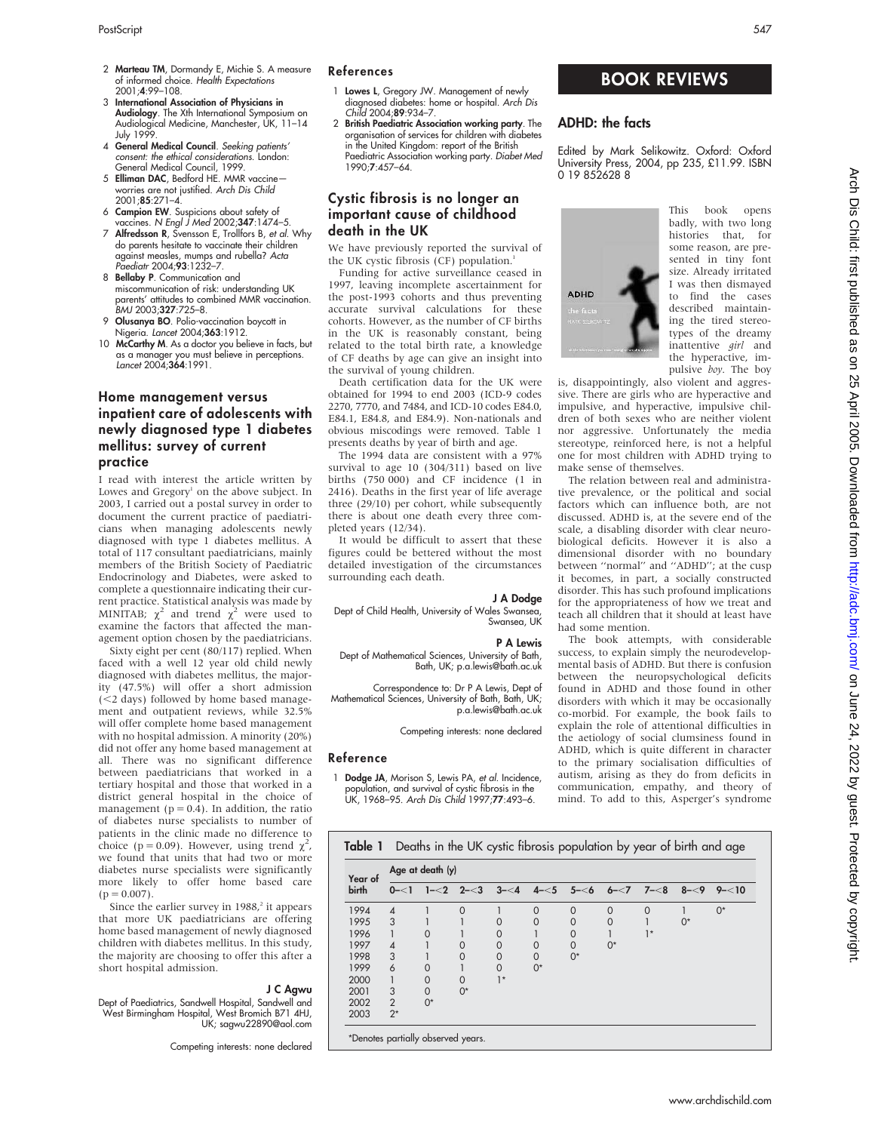- 2 Marteau TM, Dormandy E, Michie S. A measure of informed choice. Health Expectations 2001;4:99–108.
- 3 International Association of Physicians in Audiology. The Xth International Symposium on Audiological Medicine, Manchester, UK, 11–14 July 1999.
- 4 General Medical Council. Seeking patients' consent: the ethical considerations. London:
- General Medical Council, 1999.<br>5 **Elliman DAC**, Bedford HE. MMR vaccine worries are not justified. Arch Dis Child 2001;85:271–4.
- 6 Campion EW. Suspicions about safety of vaccines. N Engl J Med 2002;347:1474-5.
- 7 Alfredsson R, Svensson E, Trollfors B, et al. Why do parents hesitate to vaccinate their children against measles, mumps and rubella? Acta Paediatr 2004;93:1232–7.
- 8 Bellaby P. Communication and miscommunication of risk: understanding UK parents' attitudes to combined MMR vaccination. .<br>BMJ 2003:**327**:725-8.
- 9 Olusanya BO. Polio-vaccination boycott in Nigeria. Lancet 2004;363:1912.
- 10 McCarthy M. As a doctor you believe in facts, but as a manager you must believe in perceptions.<br>*Lancet* 2004;**364**:1991.

## Home management versus inpatient care of adolescents with newly diagnosed type 1 diabetes mellitus: survey of current practice

I read with interest the article written by Lowes and Gregory<sup>1</sup> on the above subject. In 2003, I carried out a postal survey in order to document the current practice of paediatricians when managing adolescents newly diagnosed with type 1 diabetes mellitus. A total of 117 consultant paediatricians, mainly members of the British Society of Paediatric Endocrinology and Diabetes, were asked to complete a questionnaire indicating their current practice. Statistical analysis was made by MINITAB;  $\chi^2$  and trend  $\chi^2$  were used to examine the factors that affected the management option chosen by the paediatricians.

Sixty eight per cent (80/117) replied. When faced with a well 12 year old child newly diagnosed with diabetes mellitus, the majority (47.5%) will offer a short admission  $(<$ 2 days) followed by home based management and outpatient reviews, while 32.5% will offer complete home based management with no hospital admission. A minority (20%) did not offer any home based management at all. There was no significant difference between paediatricians that worked in a tertiary hospital and those that worked in a district general hospital in the choice of management ( $p = 0.\overline{4}$ ). In addition, the ratio of diabetes nurse specialists to number of patients in the clinic made no difference to choice ( $p = 0.09$ ). However, using trend  $\chi^2$ , we found that units that had two or more diabetes nurse specialists were significantly more likely to offer home based care  $(p = 0.007)$ .

Since the earlier survey in  $1988$ ,<sup>2</sup> it appears that more UK paediatricians are offering home based management of newly diagnosed children with diabetes mellitus. In this study, the majority are choosing to offer this after a short hospital admission.

#### J C Agwu

Dept of Paediatrics, Sandwell Hospital, Sandwell and West Birmingham Hospital, West Bromich B71 4HJ, UK; sagwu22890@aol.com

Competing interests: none declared

#### References

- 1 Lowes L, Gregory JW. Management of newly diagnosed diabetes: home or hospital. Arch Dis Child 2004;89:934–7.
- 2 British Paediatric Association working party. The organisation of services for children with diabetes in the United Kingdom: report of the British Paediatric Association working party. Diabet Med 1990;7:457–64.

## Cystic fibrosis is no longer an important cause of childhood death in the UK

We have previously reported the survival of the UK cystic fibrosis (CF) population.<sup>1</sup>

Funding for active surveillance ceased in 1997, leaving incomplete ascertainment for the post-1993 cohorts and thus preventing accurate survival calculations for these cohorts. However, as the number of CF births in the UK is reasonably constant, being related to the total birth rate, a knowledge of CF deaths by age can give an insight into the survival of young children.

Death certification data for the UK were obtained for 1994 to end 2003 (ICD-9 codes 2270, 7770, and 7484, and ICD-10 codes E84.0, E84.1, E84.8, and E84.9). Non-nationals and obvious miscodings were removed. Table 1 presents deaths by year of birth and age.

The 1994 data are consistent with a 97% survival to age 10 (304/311) based on live births (750 000) and CF incidence (1 in 2416). Deaths in the first year of life average three (29/10) per cohort, while subsequently there is about one death every three completed years (12/34).

It would be difficult to assert that these figures could be bettered without the most detailed investigation of the circumstances surrounding each death.

#### J A Dodge

Dept of Child Health, University of Wales Swansea, Swansea, UK

#### P A Lewis

Dept of Mathematical Sciences, University of Bath, Bath, UK; p.a.lewis@bath.ac.uk

Correspondence to: Dr P A Lewis, Dept of Mathematical Sciences, University of Bath, Bath, UK; p.a.lewis@bath.ac.uk

Competing interests: none declared

#### Reference

1 Dodge JA, Morison S, Lewis PA, et al. Incidence, population, and survival of cystic fibrosis in the UK, 1968–95. Arch Dis Child 1997;77:493–6.

# BOOK REVIEWS

#### ADHD: the facts

Edited by Mark Selikowitz. Oxford: Oxford University Press, 2004, pp 235, £11.99. ISBN 0 19 852628 8

**ADHD** 

This book opens badly, with two long histories that, for some reason, are presented in tiny font size. Already irritated I was then dismayed to find the cases described maintaining the tired stereotypes of the dreamy inattentive girl and the hyperactive, impulsive boy. The boy

is, disappointingly, also violent and aggressive. There are girls who are hyperactive and impulsive, and hyperactive, impulsive children of both sexes who are neither violent nor aggressive. Unfortunately the media stereotype, reinforced here, is not a helpful one for most children with ADHD trying to make sense of themselves.

The relation between real and administrative prevalence, or the political and social factors which can influence both, are not discussed. ADHD is, at the severe end of the scale, a disabling disorder with clear neurobiological deficits. However it is also a dimensional disorder with no boundary between ''normal'' and ''ADHD''; at the cusp it becomes, in part, a socially constructed disorder. This has such profound implications for the appropriateness of how we treat and teach all children that it should at least have had some mention.

The book attempts, with considerable success, to explain simply the neurodevelopmental basis of ADHD. But there is confusion between the neuropsychological deficits found in ADHD and those found in other disorders with which it may be occasionally co-morbid. For example, the book fails to explain the role of attentional difficulties in the aetiology of social clumsiness found in ADHD, which is quite different in character to the primary socialisation difficulties of autism, arising as they do from deficits in communication, empathy, and theory of mind. To add to this, Asperger's syndrome

www.archdischild.com

| Year of<br><b>birth</b> | Age at death (y) |             |             |             |             |                                                                          |          |             |       |       |
|-------------------------|------------------|-------------|-------------|-------------|-------------|--------------------------------------------------------------------------|----------|-------------|-------|-------|
|                         | $0 - 1$          |             |             |             |             | $1 - 2$ 2 $- 3$ 3 $- 4$ 4 $- 5$ 5 $- 6$ 6 $- 7$ 7 $- 8$ 8 $- 9$ 9 $- 10$ |          |             |       |       |
| 1994                    | 4                |             | 0           |             | $\mathbf 0$ | $\mathbf 0$                                                              | 0        | $\mathbf 0$ |       | $0^*$ |
| 1995                    | 3                |             |             | 0           | $\mathbf 0$ | $\Omega$                                                                 | $\Omega$ |             | $0^*$ |       |
| 1996                    |                  | 0           |             | 0           |             | $\Omega$                                                                 |          | $1*$        |       |       |
| 1997                    | 4                |             | 0           | 0           | $\Omega$    | $\Omega$                                                                 | $0^*$    |             |       |       |
| 1998                    | 3                |             | 0           | $\mathbf 0$ | $\mathbf 0$ | $()^*$                                                                   |          |             |       |       |
| 1999                    | 6                | 0           |             | $\Omega$    | $0^*$       |                                                                          |          |             |       |       |
| 2000                    |                  | $\mathbf 0$ | $\mathbf 0$ | $1*$        |             |                                                                          |          |             |       |       |
| 2001                    | 3                | $\Omega$    | $0^*$       |             |             |                                                                          |          |             |       |       |
| 2002                    | $\overline{2}$   | $()^*$      |             |             |             |                                                                          |          |             |       |       |
| 2003                    | $2^*$            |             |             |             |             |                                                                          |          |             |       |       |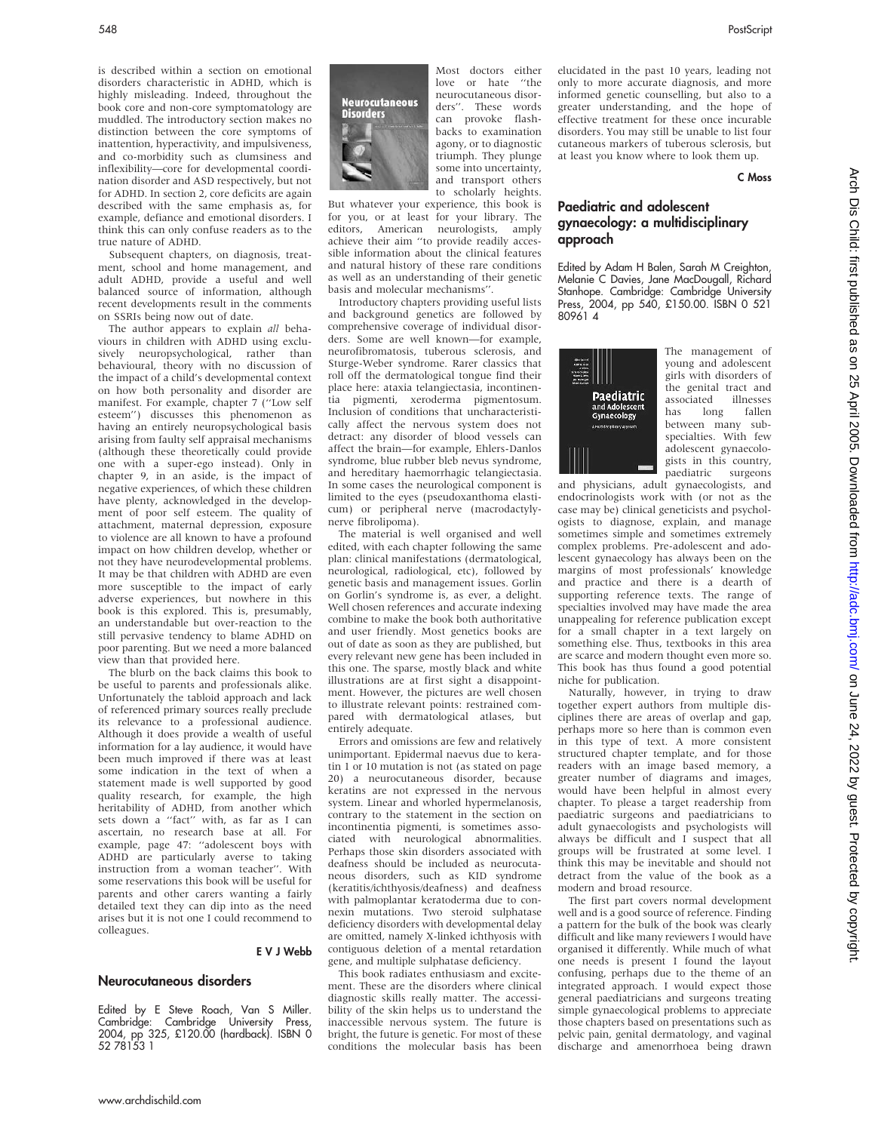is described within a section on emotional disorders characteristic in ADHD, which is highly misleading. Indeed, throughout the book core and non-core symptomatology are muddled. The introductory section makes no distinction between the core symptoms of inattention, hyperactivity, and impulsiveness, and co-morbidity such as clumsiness and inflexibility—core for developmental coordination disorder and ASD respectively, but not for ADHD. In section 2, core deficits are again described with the same emphasis as, for example, defiance and emotional disorders. I think this can only confuse readers as to the true nature of ADHD.

Subsequent chapters, on diagnosis, treatment, school and home management, and adult ADHD, provide a useful and well balanced source of information, although recent developments result in the comments on SSRIs being now out of date.

The author appears to explain all behaviours in children with ADHD using exclusively neuropsychological, rather than behavioural, theory with no discussion of the impact of a child's developmental context on how both personality and disorder are manifest. For example, chapter 7 (''Low self esteem'') discusses this phenomenon as having an entirely neuropsychological basis arising from faulty self appraisal mechanisms (although these theoretically could provide one with a super-ego instead). Only in chapter 9, in an aside, is the impact of negative experiences, of which these children have plenty, acknowledged in the development of poor self esteem. The quality of attachment, maternal depression, exposure to violence are all known to have a profound impact on how children develop, whether or not they have neurodevelopmental problems. It may be that children with ADHD are even more susceptible to the impact of early adverse experiences, but nowhere in this book is this explored. This is, presumably, an understandable but over-reaction to the still pervasive tendency to blame ADHD on poor parenting. But we need a more balanced view than that provided here.

The blurb on the back claims this book to be useful to parents and professionals alike. Unfortunately the tabloid approach and lack of referenced primary sources really preclude its relevance to a professional audience. Although it does provide a wealth of useful information for a lay audience, it would have been much improved if there was at least some indication in the text of when a statement made is well supported by good quality research, for example, the high heritability of ADHD, from another which sets down a "fact" with, as far as I can ascertain, no research base at all. For example, page 47: "adolescent boys with ADHD are particularly averse to taking instruction from a woman teacher''. With some reservations this book will be useful for parents and other carers wanting a fairly detailed text they can dip into as the need arises but it is not one I could recommend to colleagues.

## E V J Webb

#### Neurocutaneous disorders

Edited by E Steve Roach, Van S Miller. Cambridge: Cambridge University Press, 2004, pp 325, £120.00 (hardback). ISBN 0 52 78153 1

Neurocutaneous<br>Disorders

Most doctors either love or hate ''the neurocutaneous disorders''. These words can provoke flashbacks to examination agony, or to diagnostic triumph. They plunge some into uncertainty, and transport others to scholarly heights.

But whatever your experience, this book is for you, or at least for your library. The editors, American neurologists, amply achieve their aim ''to provide readily accessible information about the clinical features and natural history of these rare conditions as well as an understanding of their genetic basis and molecular mechanisms''.

Introductory chapters providing useful lists and background genetics are followed by comprehensive coverage of individual disorders. Some are well known—for example, neurofibromatosis, tuberous sclerosis, and Sturge-Weber syndrome. Rarer classics that roll off the dermatological tongue find their place here: ataxia telangiectasia, incontinentia pigmenti, xeroderma pigmentosum. Inclusion of conditions that uncharacteristically affect the nervous system does not detract: any disorder of blood vessels can affect the brain—for example, Ehlers-Danlos syndrome, blue rubber bleb nevus syndrome, and hereditary haemorrhagic telangiectasia. In some cases the neurological component is limited to the eyes (pseudoxanthoma elasticum) or peripheral nerve (macrodactylynerve fibrolipoma).

The material is well organised and well edited, with each chapter following the same plan: clinical manifestations (dermatological, neurological, radiological, etc), followed by genetic basis and management issues. Gorlin on Gorlin's syndrome is, as ever, a delight. Well chosen references and accurate indexing combine to make the book both authoritative and user friendly. Most genetics books are out of date as soon as they are published, but every relevant new gene has been included in this one. The sparse, mostly black and white illustrations are at first sight a disappointment. However, the pictures are well chosen to illustrate relevant points: restrained compared with dermatological atlases, but entirely adequate.

Errors and omissions are few and relatively unimportant. Epidermal naevus due to keratin 1 or 10 mutation is not (as stated on page 20) a neurocutaneous disorder, because keratins are not expressed in the nervous system. Linear and whorled hypermelanosis, contrary to the statement in the section on incontinentia pigmenti, is sometimes associated with neurological abnormalities. Perhaps those skin disorders associated with deafness should be included as neurocutaneous disorders, such as KID syndrome (keratitis/ichthyosis/deafness) and deafness with palmoplantar keratoderma due to connexin mutations. Two steroid sulphatase deficiency disorders with developmental delay are omitted, namely X-linked ichthyosis with contiguous deletion of a mental retardation gene, and multiple sulphatase deficiency.

This book radiates enthusiasm and excitement. These are the disorders where clinical diagnostic skills really matter. The accessibility of the skin helps us to understand the inaccessible nervous system. The future is bright, the future is genetic. For most of these conditions the molecular basis has been

elucidated in the past 10 years, leading not only to more accurate diagnosis, and more informed genetic counselling, but also to a greater understanding, and the hope of effective treatment for these once incurable disorders. You may still be unable to list four cutaneous markers of tuberous sclerosis, but at least you know where to look them up.

C Moss

## Paediatric and adolescent gynaecology: a multidisciplinary approach

Edited by Adam H Balen, Sarah M Creighton, Melanie C Davies, Jane MacDougall, Richard Stanhope. Cambridge: Cambridge University Press, 2004, pp 540, £150.00. ISBN 0 521 80961 4



The management of young and adolescent girls with disorders of the genital tract and<br>associated illnesses associated has long fallen between many subspecialties. With few adolescent gynaecologists in this country, paediatric surgeons

and physicians, adult gynaecologists, and endocrinologists work with (or not as the case may be) clinical geneticists and psychologists to diagnose, explain, and manage sometimes simple and sometimes extremely complex problems. Pre-adolescent and adolescent gynaecology has always been on the margins of most professionals' knowledge and practice and there is a dearth of supporting reference texts. The range of specialties involved may have made the area unappealing for reference publication except for a small chapter in a text largely on something else. Thus, textbooks in this area are scarce and modern thought even more so. This book has thus found a good potential niche for publication.

Naturally, however, in trying to draw together expert authors from multiple disciplines there are areas of overlap and gap, perhaps more so here than is common even in this type of text. A more consistent structured chapter template, and for those readers with an image based memory, a greater number of diagrams and images, would have been helpful in almost every chapter. To please a target readership from paediatric surgeons and paediatricians to adult gynaecologists and psychologists will always be difficult and I suspect that all groups will be frustrated at some level. I think this may be inevitable and should not detract from the value of the book as a modern and broad resource.

The first part covers normal development well and is a good source of reference. Finding a pattern for the bulk of the book was clearly difficult and like many reviewers I would have organised it differently. While much of what one needs is present I found the layout confusing, perhaps due to the theme of an integrated approach. I would expect those general paediatricians and surgeons treating simple gynaecological problems to appreciate those chapters based on presentations such as pelvic pain, genital dermatology, and vaginal discharge and amenorrhoea being drawn